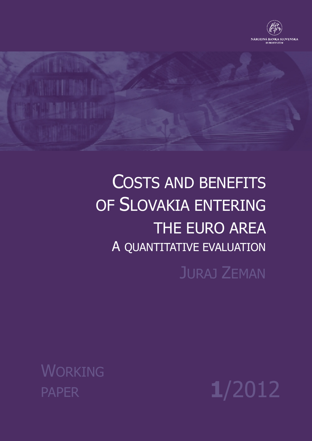



# COSTS AND BENEFITS OF SLOVAKIA ENTERING THE EURO AREA A QUANTITATIVE EVALUATION

JURAJ ZEMAN

WORKING

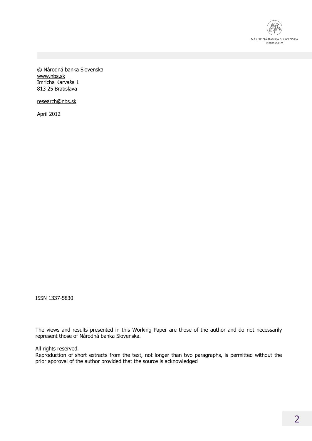

© Národná banka Slovenska [www.nbs.sk](http://www.nbs.sk) Imricha Karvaša 1 813 25 Bratislava

[research@nbs.sk](mailto:research@nbs.sk)

April 2012

ISSN 1337-5830

The views and results presented in this Working Paper are those of the author and do not necessarily represent those of Národná banka Slovenska.

All rights reserved.

Reproduction of short extracts from the text, not longer than two paragraphs, is permitted without the prior approval of the author provided that the source is acknowledged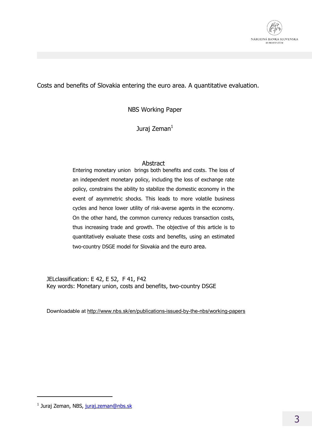

Costs and benefits of Slovakia entering the euro area. A quantitative evaluation.

NBS Working Paper

Juraj Zeman $<sup>1</sup>$ </sup>

## Abstract

Entering monetary union brings both benefits and costs. The loss of an independent monetary policy, including the loss of exchange rate policy, constrains the ability to stabilize the domestic economy in the event of asymmetric shocks. This leads to more volatile business cycles and hence lower utility of risk-averse agents in the economy. On the other hand, the common currency reduces transaction costs, thus increasing trade and growth. The objective of this article is to quantitatively evaluate these costs and benefits, using an estimated two-country DSGE model for Slovakia and the euro area.

JELclassification: E 42, E 52, F 41, F42 Key words: Monetary union, costs and benefits, two-country DSGE

Downloadable at <http://www.nbs.sk/en/publications-issued-by-the-nbs/working-papers>

 $\overline{a}$ 

<sup>&</sup>lt;sup>1</sup> Juraj Zeman, NBS, [juraj.zeman@nbs.sk](mailto:juraj.zeman@nbs.sk)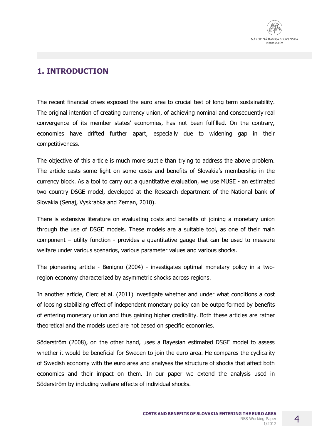

# **1. INTRODUCTION**

The recent financial crises exposed the euro area to crucial test of long term sustainability. The original intention of creating currency union, of achieving nominal and consequently real convergence of its member states' economies, has not been fulfilled. On the contrary, economies have drifted further apart, especially due to widening gap in their competitiveness.

The objective of this article is much more subtle than trying to address the above problem. The article casts some light on some costs and benefits of Slovakia's membership in the currency block. As a tool to carry out a quantitative evaluation, we use MUSE - an estimated two country DSGE model, developed at the Research department of the National bank of Slovakia (Senaj, Vyskrabka and Zeman, 2010).

There is extensive literature on evaluating costs and benefits of joining a monetary union through the use of DSGE models. These models are a suitable tool, as one of their main component – utility function - provides a quantitative gauge that can be used to measure welfare under various scenarios, various parameter values and various shocks.

The pioneering article - Benigno (2004) - investigates optimal monetary policy in a tworegion economy characterized by asymmetric shocks across regions.

In another article, Clerc et al. (2011) investigate whether and under what conditions a cost of loosing stabilizing effect of independent monetary policy can be outperformed by benefits of entering monetary union and thus gaining higher credibility. Both these articles are rather theoretical and the models used are not based on specific economies.

Söderström (2008), on the other hand, uses a Bayesian estimated DSGE model to assess whether it would be beneficial for Sweden to join the euro area. He compares the cyclicality of Swedish economy with the euro area and analyses the structure of shocks that affect both economies and their impact on them. In our paper we extend the analysis used in Söderström by including welfare effects of individual shocks.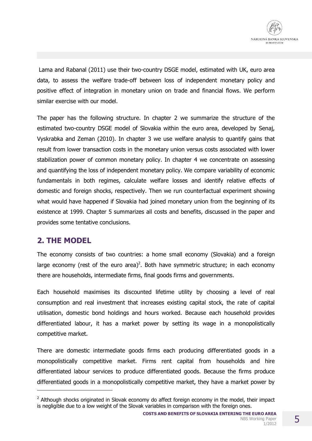Lama and Rabanal (2011) use their two-country DSGE model, estimated with UK, euro area data, to assess the welfare trade-off between loss of independent monetary policy and positive effect of integration in monetary union on trade and financial flows. We perform similar exercise with our model.

The paper has the following structure. In chapter 2 we summarize the structure of the estimated two-country DSGE model of Slovakia within the euro area, developed by Senaj, Vyskrabka and Zeman (2010). In chapter 3 we use welfare analysis to quantify gains that result from lower transaction costs in the monetary union versus costs associated with lower stabilization power of common monetary policy. In chapter 4 we concentrate on assessing and quantifying the loss of independent monetary policy. We compare variability of economic fundamentals in both regimes, calculate welfare losses and identify relative effects of domestic and foreign shocks, respectively. Then we run counterfactual experiment showing what would have happened if Slovakia had joined monetary union from the beginning of its existence at 1999. Chapter 5 summarizes all costs and benefits, discussed in the paper and provides some tentative conclusions.

# **2. THE MODEL**

 $\overline{a}$ 

The economy consists of two countries: a home small economy (Slovakia) and a foreign large economy (rest of the euro area)<sup>2</sup>. Both have symmetric structure; in each economy there are households, intermediate firms, final goods firms and governments.

Each household maximises its discounted lifetime utility by choosing a level of real consumption and real investment that increases existing capital stock, the rate of capital utilisation, domestic bond holdings and hours worked. Because each household provides differentiated labour, it has a market power by setting its wage in a monopolistically competitive market.

There are domestic intermediate goods firms each producing differentiated goods in a monopolistically competitive market. Firms rent capital from households and hire differentiated labour services to produce differentiated goods. Because the firms produce differentiated goods in a monopolistically competitive market, they have a market power by

 $2$  Although shocks originated in Slovak economy do affect foreign economy in the model, their impact is negligible due to a low weight of the Slovak variables in comparison with the foreign ones.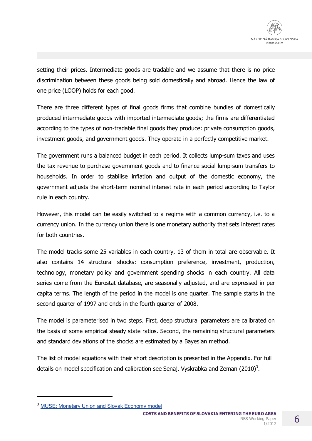setting their prices. Intermediate goods are tradable and we assume that there is no price discrimination between these goods being sold domestically and abroad. Hence the law of one price (LOOP) holds for each good.

There are three different types of final goods firms that combine bundles of domestically produced intermediate goods with imported intermediate goods; the firms are differentiated according to the types of non-tradable final goods they produce: private consumption goods, investment goods, and government goods. They operate in a perfectly competitive market.

The government runs a balanced budget in each period. It collects lump-sum taxes and uses the tax revenue to purchase government goods and to finance social lump-sum transfers to households. In order to stabilise inflation and output of the domestic economy, the government adjusts the short-term nominal interest rate in each period according to Taylor rule in each country.

However, this model can be easily switched to a regime with a common currency, i.e. to a currency union. In the currency union there is one monetary authority that sets interest rates for both countries.

The model tracks some 25 variables in each country, 13 of them in total are observable. It also contains 14 structural shocks: consumption preference, investment, production, technology, monetary policy and government spending shocks in each country. All data series come from the Eurostat database, are seasonally adjusted, and are expressed in per capita terms. The length of the period in the model is one quarter. The sample starts in the second quarter of 1997 and ends in the fourth quarter of 2008.

The model is parameterised in two steps. First, deep structural parameters are calibrated on the basis of some empirical steady state ratios. Second, the remaining structural parameters and standard deviations of the shocks are estimated by a Bayesian method.

The list of model equations with their short description is presented in the Appendix. For full details on model specification and calibration see Senaj, Vyskrabka and Zeman (2010)<sup>3</sup>.

 $\overline{a}$ 

**COSTS AND BENEFITS OF SLOVAKIA ENTERING THE EURO AREA** NBS Working Paper 1/2012

<sup>&</sup>lt;sup>3</sup> MUSE: Monetary Union and Slovak Economy model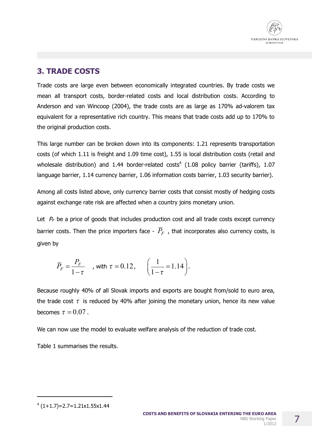

# **3. TRADE COSTS**

Trade costs are large even between economically integrated countries. By trade costs we mean all transport costs, border-related costs and local distribution costs. According to Anderson and van Wincoop (2004), the trade costs are as large as 170% ad-valorem tax equivalent for a representative rich country. This means that trade costs add up to 170% to the original production costs.

This large number can be broken down into its components: 1.21 represents transportation costs (of which 1.11 is freight and 1.09 time cost), 1.55 is local distribution costs (retail and wholesale distribution) and 1.44 border-related costs<sup>4</sup> (1.08 policy barrier (tariffs), 1.07 language barrier, 1.14 currency barrier, 1.06 information costs barrier, 1.03 security barrier).

Among all costs listed above, only currency barrier costs that consist mostly of hedging costs against exchange rate risk are affected when a country joins monetary union.

Let  $P_F$  be a price of goods that includes production cost and all trade costs except currency barrier costs. Then the price importers face -  $\overline{P}_F$ , that incorporates also currency costs, is given by

$$
\overline{P}_F = \frac{P_F}{1 - \tau} \quad \text{, with } \tau = 0.12, \quad \left(\frac{1}{1 - \tau} = 1.14\right).
$$

Because roughly 40% of all Slovak imports and exports are bought from/sold to euro area, the trade cost  $\tau$  is reduced by 40% after joining the monetary union, hence its new value becomes  $\tau = 0.07$ .

We can now use the model to evaluate welfare analysis of the reduction of trade cost.

Table 1 summarises the results.

 $(1+1.7)=2.7=1.21x1.55x1.44$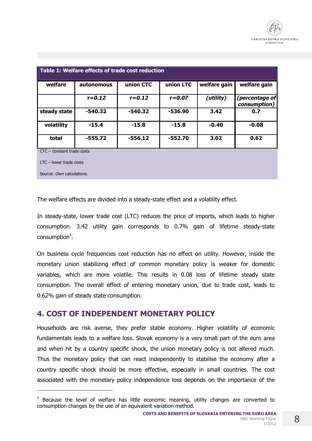| Table 1: Welfare effects of trade cost reduction |                          |            |            |              |                                |  |  |
|--------------------------------------------------|--------------------------|------------|------------|--------------|--------------------------------|--|--|
| welfare                                          | autonomous               | union CTC  | union LTC  | welfare gain | welfare gain                   |  |  |
|                                                  | $T = 0.12$               | $T = 0.12$ | $T = 0.07$ | (utility)    | (percentage of<br>consumption) |  |  |
| steady state                                     | $-540.32$                | -540.32    | $-536.90$  | 3.42         | 0.7                            |  |  |
| volatility                                       | $-15.4$                  | $-15.8$    | $-15.8$    | $-0.40$      | $-0.08$                        |  |  |
| total                                            | $-555.72$                | $-556.12$  | $-552.70$  | 3.02         | 0.62                           |  |  |
| $CTC$ – constant trade costs                     |                          |            |            |              |                                |  |  |
| $LTC$ – lower trade costs                        |                          |            |            |              |                                |  |  |
|                                                  | Source: Own calculations |            |            |              |                                |  |  |

 $\overline{a}$ 

The welfare effects are divided into a steady-state effect and a volatility effect.

In steady-state, lower trade cost (LTC) reduces the price of imports, which leads to higher consumption. 3.42 utility gain corresponds to 0.7% gain of lifetime steady-state consumption<sup>5</sup>.

On business cycle frequencies cost reduction has no effect on utility. However, inside the monetary union stabilizing effect of common monetary policy is weaker for domestic variables, which are more volatile. This results in 0.08 loss of lifetime steady state consumption. The overall effect of entering monetary union, due to trade cost, leads to 0.62% gain of steady state consumption.

## **4. COST OF INDEPENDENT MONETARY POLICY**

Households are risk averse, they prefer stable economy. Higher volatility of economic fundamentals leads to a welfare loss. Slovak economy is a very small part of the euro area and when hit by a country specific shock, the union monetary policy is not altered much. Thus the monetary policy that can react independently to stabilise the economy after a country specific shock should be more effective, especially in small countries. The cost associated with the monetary policy independence loss depends on the importance of the

<sup>&</sup>lt;sup>5</sup> Because the level of welfare has little economic meaning, utility changes are converted to consumption changes by the use of an equivalent variation method.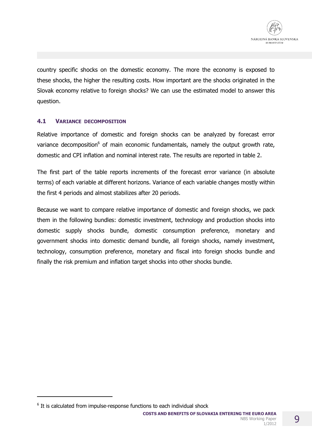

country specific shocks on the domestic economy. The more the economy is exposed to these shocks, the higher the resulting costs. How important are the shocks originated in the Slovak economy relative to foreign shocks? We can use the estimated model to answer this question.

## **4.1 VARIANCE DECOMPOSITION**

Relative importance of domestic and foreign shocks can be analyzed by forecast error variance decomposition<sup>6</sup> of main economic fundamentals, namely the output growth rate, domestic and CPI inflation and nominal interest rate. The results are reported in table 2.

The first part of the table reports increments of the forecast error variance (in absolute terms) of each variable at different horizons. Variance of each variable changes mostly within the first 4 periods and almost stabilizes after 20 periods.

Because we want to compare relative importance of domestic and foreign shocks, we pack them in the following bundles: domestic investment, technology and production shocks into domestic supply shocks bundle, domestic consumption preference, monetary and government shocks into domestic demand bundle, all foreign shocks, namely investment, technology, consumption preference, monetary and fiscal into foreign shocks bundle and finally the risk premium and inflation target shocks into other shocks bundle.

 $\overline{a}$ 

 $6$  It is calculated from impulse-response functions to each individual shock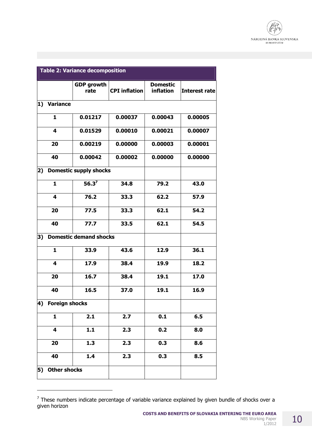

|                           | <b>Table 2: Variance decomposition</b> |                               |                      |                              |                      |  |  |  |
|---------------------------|----------------------------------------|-------------------------------|----------------------|------------------------------|----------------------|--|--|--|
|                           |                                        | <b>GDP growth</b><br>rate     | <b>CPI</b> inflation | <b>Domestic</b><br>inflation | <b>Interest rate</b> |  |  |  |
| $\mathbf{1}$              | <b>Variance</b>                        |                               |                      |                              |                      |  |  |  |
|                           | $\mathbf{1}$                           | 0.01217                       | 0.00037              | 0.00043                      | 0.00005              |  |  |  |
|                           | $\overline{\mathbf{4}}$                | 0.01529                       | 0.00010              | 0.00021                      | 0.00007              |  |  |  |
|                           | 20                                     | 0.00219                       | 0.00000              | 0.00003                      | 0.00001              |  |  |  |
|                           | 40                                     | 0.00042                       | 0.00002              | 0.00000                      | 0.00000              |  |  |  |
| $\mathbf{2}$              |                                        | <b>Domestic supply shocks</b> |                      |                              |                      |  |  |  |
|                           | $\mathbf{1}$                           | 56.3 <sup>7</sup>             | 34.8                 | 79.2                         | 43.0                 |  |  |  |
|                           | 4                                      | 76.2                          | 33.3                 | 62.2                         | 57.9                 |  |  |  |
|                           | 20                                     | 77.5                          | 33.3                 | 62.1                         | 54.2                 |  |  |  |
|                           | 40                                     | 77.7                          | 33.5                 | 62.1                         | 54.5                 |  |  |  |
| 3)                        |                                        | <b>Domestic demand shocks</b> |                      |                              |                      |  |  |  |
|                           | 1                                      | 33.9                          | 43.6                 | 12.9                         | 36.1                 |  |  |  |
|                           | 4                                      | 17.9                          | 38.4                 | 19.9                         | 18.2                 |  |  |  |
|                           | 20                                     | 16.7                          | 38.4                 | 19.1                         | 17.0                 |  |  |  |
|                           | 40                                     | 16.5                          | 37.0                 | 19.1                         | 16.9                 |  |  |  |
| 4) Foreign shocks         |                                        |                               |                      |                              |                      |  |  |  |
|                           | $\mathbf{1}$                           | 2.1                           | 2.7                  | 0.1                          | 6.5                  |  |  |  |
|                           | 4                                      | 1.1                           | 2.3                  | 0.2                          | 8.0                  |  |  |  |
|                           | 20                                     | 1.3                           | 2.3                  | 0.3                          | 8.6                  |  |  |  |
|                           | 40                                     | 1.4                           | 2.3                  | 0.3                          | 8.5                  |  |  |  |
| <b>Other shocks</b><br>5) |                                        |                               |                      |                              |                      |  |  |  |

 $<sup>7</sup>$  These numbers indicate percentage of variable variance explained by given bundle of shocks over a</sup> given horizon

 $\overline{a}$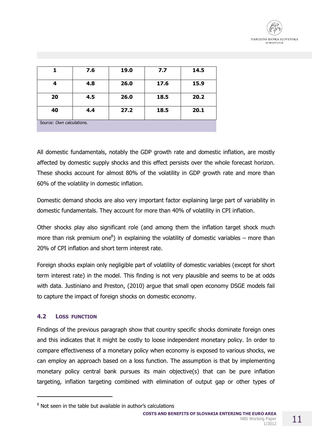

|                           | 7.6 | 19.0 | 7.7  | 14.5 |  |
|---------------------------|-----|------|------|------|--|
| 4                         | 4.8 | 26.0 | 17.6 | 15.9 |  |
| 20                        | 4.5 | 26.0 | 18.5 | 20.2 |  |
| 40                        | 4.4 | 27.2 | 18.5 | 20.1 |  |
| Source: Own calculations. |     |      |      |      |  |

All domestic fundamentals, notably the GDP growth rate and domestic inflation, are mostly affected by domestic supply shocks and this effect persists over the whole forecast horizon. These shocks account for almost 80% of the volatility in GDP growth rate and more than 60% of the volatility in domestic inflation.

Domestic demand shocks are also very important factor explaining large part of variability in domestic fundamentals. They account for more than 40% of volatility in CPI inflation.

Other shocks play also significant role (and among them the inflation target shock much more than risk premium one ${}^{8}$ ) in explaining the volatility of domestic variables – more than 20% of CPI inflation and short term interest rate.

Foreign shocks explain only negligible part of volatility of domestic variables (except for short term interest rate) in the model. This finding is not very plausible and seems to be at odds with data. Justiniano and Preston, (2010) argue that small open economy DSGE models fail to capture the impact of foreign shocks on domestic economy.

## **4.2 LOSS FUNCTION**

 $\overline{a}$ 

Findings of the previous paragraph show that country specific shocks dominate foreign ones and this indicates that it might be costly to loose independent monetary policy. In order to compare effectiveness of a monetary policy when economy is exposed to various shocks, we can employ an approach based on a loss function. The assumption is that by implementing monetary policy central bank pursues its main objective(s) that can be pure inflation targeting, inflation targeting combined with elimination of output gap or other types of

<sup>&</sup>lt;sup>8</sup> Not seen in the table but available in author's calculations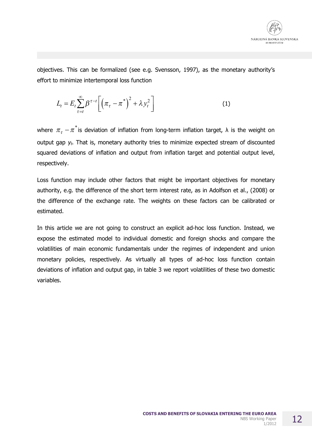

objectives. This can be formalized (see e.g. Svensson, 1997), as the monetary authority's effort to minimize intertemporal loss function

$$
L_t = E_t \sum_{\tau=t}^{\infty} \beta^{\tau-t} \left[ \left( \pi_{\tau} - \pi^* \right)^2 + \lambda y_t^2 \right] \tag{1}
$$

where  $\pi^{\,}_{\tau}$   $\pi^{\ast}$  is deviation of inflation from long-term inflation target,  $\lambda$  is the weight on output gap *yt*. That is, monetary authority tries to minimize expected stream of discounted squared deviations of inflation and output from inflation target and potential output level, respectively.

Loss function may include other factors that might be important objectives for monetary authority, e.g. the difference of the short term interest rate, as in Adolfson et al., (2008) or the difference of the exchange rate. The weights on these factors can be calibrated or estimated.

In this article we are not going to construct an explicit ad-hoc loss function. Instead, we expose the estimated model to individual domestic and foreign shocks and compare the volatilities of main economic fundamentals under the regimes of independent and union monetary policies, respectively. As virtually all types of ad-hoc loss function contain deviations of inflation and output gap, in table 3 we report volatilities of these two domestic variables.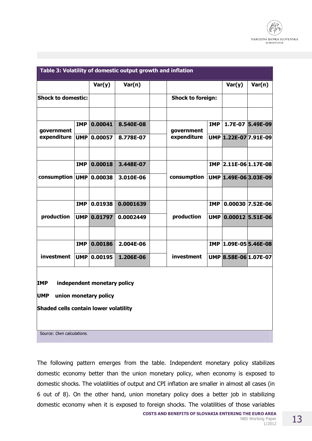

|                                              |            |         |           | Table 3: Volatility of domestic output growth and inflation |                          |                       |                    |  |
|----------------------------------------------|------------|---------|-----------|-------------------------------------------------------------|--------------------------|-----------------------|--------------------|--|
|                                              |            | Var(y)  | Var(n)    |                                                             |                          | Var(y)                | Var(n)             |  |
| <b>Shock to domestic:</b>                    |            |         |           |                                                             | <b>Shock to foreign:</b> |                       |                    |  |
|                                              |            |         |           |                                                             |                          |                       |                    |  |
| government                                   | <b>IMP</b> | 0.00041 | 8.540E-08 | government                                                  | <b>IMP</b>               | 1.7E-07               | 5.49E-09           |  |
| expenditure                                  | <b>UMP</b> | 0.00057 | 8.778E-07 | expenditure                                                 |                          | UMP 1.22E-07 7.91E-09 |                    |  |
|                                              |            |         |           |                                                             |                          |                       |                    |  |
|                                              | <b>IMP</b> | 0.00018 | 3.448E-07 |                                                             |                          | IMP 2.11E-06 1.17E-08 |                    |  |
| consumption UMP                              |            | 0.00038 | 3.010E-06 | consumption                                                 |                          | UMP 1.49E-06 3.03E-09 |                    |  |
|                                              |            |         |           |                                                             |                          |                       |                    |  |
|                                              | <b>IMP</b> | 0.01938 | 0.0001639 |                                                             | <b>IMP</b>               |                       | $0.00030$ 7.52E-06 |  |
| production                                   | <b>UMP</b> | 0.01797 | 0.0002449 | production                                                  | UMP                      |                       | $0.00012$ 5.51E-06 |  |
|                                              |            |         |           |                                                             |                          |                       |                    |  |
|                                              | <b>IMP</b> | 0.00186 | 2.004E-06 |                                                             |                          | IMP 1.09E-05 5.46E-08 |                    |  |
| investment                                   | <b>UMP</b> | 0.00195 | 1.206E-06 | investment                                                  |                          | UMP 8.58E-06 1.07E-07 |                    |  |
|                                              |            |         |           |                                                             |                          |                       |                    |  |
| independent monetary policy<br><b>IMP</b>    |            |         |           |                                                             |                          |                       |                    |  |
| <b>UMP</b><br>union monetary policy          |            |         |           |                                                             |                          |                       |                    |  |
| <b>Shaded cells contain lower volatility</b> |            |         |           |                                                             |                          |                       |                    |  |
| Source: Own calculations.                    |            |         |           |                                                             |                          |                       |                    |  |

The following pattern emerges from the table. Independent monetary policy stabilizes domestic economy better than the union monetary policy, when economy is exposed to domestic shocks. The volatilities of output and CPI inflation are smaller in almost all cases (in 6 out of 8). On the other hand, union monetary policy does a better job in stabilizing domestic economy when it is exposed to foreign shocks. The volatilities of those variables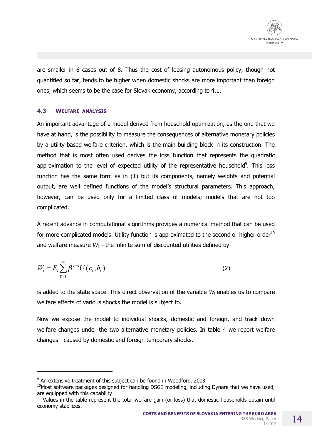are smaller in 6 cases out of 8. Thus the cost of loosing autonomous policy, though not quantified so far, tends to be higher when domestic shocks are more important than foreign ones, which seems to be the case for Slovak economy, according to 4.1.

## **4.3 WELFARE ANALYSIS**

An important advantage of a model derived from household optimization, as the one that we have at hand, is the possibility to measure the consequences of alternative monetary policies by a utility-based welfare criterion, which is the main building block in its construction. The method that is most often used derives the loss function that represents the quadratic approximation to the level of expected utility of the representative household<sup>9</sup>. This loss function has the same form as in (1) but its components, namely weights and potential output, are well defined functions of the model's structural parameters. This approach, however, can be used only for a limited class of models; models that are not too complicated.

A recent advance in computational algorithms provides a numerical method that can be used for more complicated models. Utility function is approximated to the second or higher order<sup>10</sup> and welfare measure  $W_t$  – the infinite sum of discounted utilities defined by

$$
W_t = E_t \sum_{\tau=t}^{\infty} \beta^{\tau-t} U\left(c_t, h_t\right) \tag{2}
$$

is added to the state space. This direct observation of the variable *W<sup>t</sup>* enables us to compare welfare effects of various shocks the model is subject to.

Now we expose the model to individual shocks, domestic and foreign, and track down welfare changes under the two alternative monetary policies. In table 4 we report welfare changes $^{11}$  caused by domestic and foreign temporary shocks.

-

<sup>&</sup>lt;sup>9</sup> An extensive treatment of this subject can be found in Woodford, 2003

 $10$ Most software packages designed for handling DSGE modeling, including Dynare that we have used, are equipped with this capability

 $11$  Values in the table represent the total welfare gain (or loss) that domestic households obtain until economy stabilizes.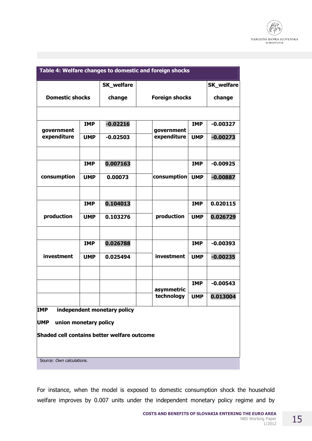

| Table 4: Welfare changes to domestic and foreign shocks |            |                   |                       |            |                   |  |  |  |
|---------------------------------------------------------|------------|-------------------|-----------------------|------------|-------------------|--|--|--|
|                                                         |            | <b>SK_welfare</b> |                       |            | <b>SK_welfare</b> |  |  |  |
| <b>Domestic shocks</b>                                  |            | change            | <b>Foreign shocks</b> |            | change            |  |  |  |
|                                                         |            |                   |                       |            |                   |  |  |  |
| government                                              | <b>IMP</b> | $-0.02216$        | government            | <b>IMP</b> | $-0.00327$        |  |  |  |
| expenditure                                             | <b>UMP</b> | $-0.02503$        | expenditure           | <b>UMP</b> | $-0.00273$        |  |  |  |
|                                                         |            | 0.007163          |                       | <b>IMP</b> | $-0.00925$        |  |  |  |
|                                                         | <b>IMP</b> |                   |                       |            |                   |  |  |  |
| consumption                                             | <b>UMP</b> | 0.00073           | consumption           | <b>UMP</b> | $-0.00887$        |  |  |  |
|                                                         |            |                   |                       |            |                   |  |  |  |
|                                                         | <b>IMP</b> | 0.104013          |                       | <b>IMP</b> | 0.020115          |  |  |  |
| production                                              | <b>UMP</b> | 0.103276          | production            | <b>UMP</b> | 0.026729          |  |  |  |
|                                                         |            |                   |                       |            |                   |  |  |  |
|                                                         | <b>IMP</b> | 0.026788          |                       | <b>IMP</b> | $-0.00393$        |  |  |  |
| investment                                              | <b>UMP</b> | 0.025494          | investment            | <b>UMP</b> | $-0.00235$        |  |  |  |
|                                                         |            |                   |                       |            |                   |  |  |  |
|                                                         |            |                   | asymmetric            | <b>IMP</b> | $-0.00543$        |  |  |  |
|                                                         |            |                   | technology            | <b>UMP</b> | 0.013004          |  |  |  |
| independent monetary policy<br><b>IMP</b>               |            |                   |                       |            |                   |  |  |  |
| <b>UMP</b><br>union monetary policy                     |            |                   |                       |            |                   |  |  |  |
| Shaded cell contains better welfare outcome             |            |                   |                       |            |                   |  |  |  |
| Source: Own calculations.                               |            |                   |                       |            |                   |  |  |  |

For instance, when the model is exposed to domestic consumption shock the household welfare improves by 0.007 units under the independent monetary policy regime and by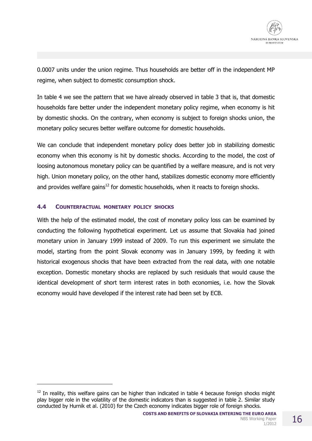

0.0007 units under the union regime. Thus households are better off in the independent MP regime, when subject to domestic consumption shock.

In table 4 we see the pattern that we have already observed in table 3 that is, that domestic households fare better under the independent monetary policy regime, when economy is hit by domestic shocks. On the contrary, when economy is subject to foreign shocks union, the monetary policy secures better welfare outcome for domestic households.

We can conclude that independent monetary policy does better job in stabilizing domestic economy when this economy is hit by domestic shocks. According to the model, the cost of loosing autonomous monetary policy can be quantified by a welfare measure, and is not very high. Union monetary policy, on the other hand, stabilizes domestic economy more efficiently and provides welfare gains<sup>12</sup> for domestic households, when it reacts to foreign shocks.

## **4.4 COUNTERFACTUAL MONETARY POLICY SHOCKS**

 $\overline{a}$ 

With the help of the estimated model, the cost of monetary policy loss can be examined by conducting the following hypothetical experiment. Let us assume that Slovakia had joined monetary union in January 1999 instead of 2009. To run this experiment we simulate the model, starting from the point Slovak economy was in January 1999, by feeding it with historical exogenous shocks that have been extracted from the real data, with one notable exception. Domestic monetary shocks are replaced by such residuals that would cause the identical development of short term interest rates in both economies, i.e. how the Slovak economy would have developed if the interest rate had been set by ECB.

 $12$  In reality, this welfare gains can be higher than indicated in table 4 because foreign shocks might play bigger role in the volatility of the domestic indicators than is suggested in table 2. Similar study conducted by Hurnik et al. (2010) for the Czech economy indicates bigger role of foreign shocks.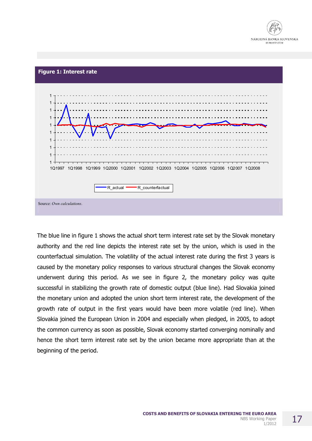



The blue line in figure 1 shows the actual short term interest rate set by the Slovak monetary authority and the red line depicts the interest rate set by the union, which is used in the counterfactual simulation. The volatility of the actual interest rate during the first 3 years is caused by the monetary policy responses to various structural changes the Slovak economy underwent during this period. As we see in figure 2, the monetary policy was quite successful in stabilizing the growth rate of domestic output (blue line). Had Slovakia joined the monetary union and adopted the union short term interest rate, the development of the growth rate of output in the first years would have been more volatile (red line). When Slovakia joined the European Union in 2004 and especially when pledged, in 2005, to adopt the common currency as soon as possible, Slovak economy started converging nominally and hence the short term interest rate set by the union became more appropriate than at the beginning of the period.

17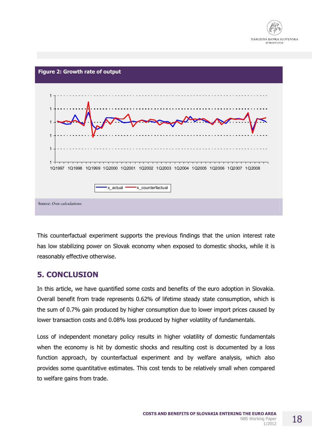



This counterfactual experiment supports the previous findings that the union interest rate has low stabilizing power on Slovak economy when exposed to domestic shocks, while it is reasonably effective otherwise.

## **5. CONCLUSION**

In this article, we have quantified some costs and benefits of the euro adoption in Slovakia. Overall benefit from trade represents 0.62% of lifetime steady state consumption, which is the sum of 0.7% gain produced by higher consumption due to lower import prices caused by lower transaction costs and 0.08% loss produced by higher volatility of fundamentals.

Loss of independent monetary policy results in higher volatility of domestic fundamentals when the economy is hit by domestic shocks and resulting cost is documented by a loss function approach, by counterfactual experiment and by welfare analysis, which also provides some quantitative estimates. This cost tends to be relatively small when compared to welfare gains from trade.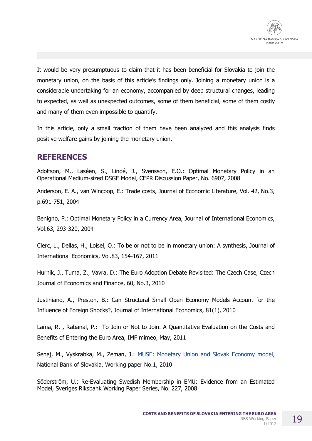

It would be very presumptuous to claim that it has been beneficial for Slovakia to join the monetary union, on the basis of this article's findings only. Joining a monetary union is a considerable undertaking for an economy, accompanied by deep structural changes, leading to expected, as well as unexpected outcomes, some of them beneficial, some of them costly and many of them even impossible to quantify.

In this article, only a small fraction of them have been analyzed and this analysis finds positive welfare gains by joining the monetary union.

## **REFERENCES**

Adolfson, M., Laséen, S., Lindé, J., Svensson, E.O.: Optimal Monetary Policy in an Operational Medium-sized DSGE Model, CEPR Discussion Paper, No. 6907, 2008

Anderson, E. A., van Wincoop, E.: Trade costs, Journal of Economic Literature, Vol. 42, No.3, p.691-751, 2004

Benigno, P.: Optimal Monetary Policy in a Currency Area, Journal of International Economics, Vol.63, 293-320, 2004

Clerc, L., Dellas, H., Loisel, O.: To be or not to be in monetary union: A synthesis, Journal of International Economics, Vol.83, 154-167, 2011

Hurnik, J., Tuma, Z., Vavra, D.: The Euro Adoption Debate Revisited: The Czech Case, Czech Journal of Economics and Finance, 60, No.3, 2010

Justiniano, A., Preston, B.: Can Structural Small Open Economy Models Account for the Influence of Foreign Shocks?, Journal of International Economics, 81(1), 2010

Lama, R. , Rabanal, P.: To Join or Not to Join. A Quantitative Evaluation on the Costs and Benefits of Entering the Euro Area, IMF mimeo, May, 2011

Senaj, M., Vyskrabka, M., Zeman, J.: **MUSE: Monetary Union and Slovak Economy model**, National Bank of Slovakia, Working paper No.1, 2010

Söderström, U.: Re-Evaluating Swedish Membership in EMU: Evidence from an Estimated Model, Sveriges Riksbank Working Paper Series, No. 227, 2008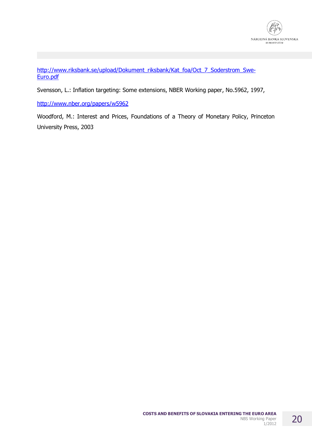

[http://www.riksbank.se/upload/Dokument\\_riksbank/Kat\\_foa/Oct\\_7\\_Soderstrom\\_Swe](http://www.riksbank.se/upload/Dokument_riksbank/Kat_foa/Oct_7_Soderstrom_Swe)-Euro.pdf

Svensson, L.: Inflation targeting: Some extensions, NBER Working paper, No.5962, 1997,

<http://www.nber.org/papers/w5962>

Woodford, M.: Interest and Prices, Foundations of a Theory of Monetary Policy, Princeton University Press, 2003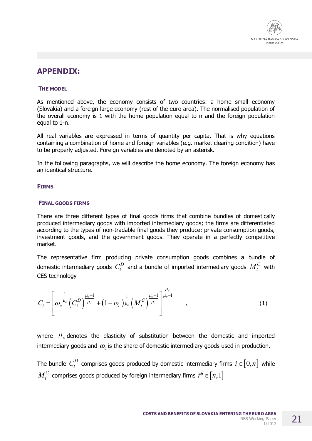

## **APPENDIX:**

### **THE MODEL**

As mentioned above, the economy consists of two countries: a home small economy (Slovakia) and a foreign large economy (rest of the euro area). The normalised population of the overall economy is 1 with the home population equal to n and the foreign population equal to 1-n.

All real variables are expressed in terms of quantity per capita. That is why equations containing a combination of home and foreign variables (e.g. market clearing condition) have to be properly adjusted. Foreign variables are denoted by an asterisk.

In the following paragraphs, we will describe the home economy. The foreign economy has an identical structure.

### **FIRMS**

### **FINAL GOODS FIRMS**

There are three different types of final goods firms that combine bundles of domestically produced intermediary goods with imported intermediary goods; the firms are differentiated according to the types of non-tradable final goods they produce: private consumption goods, investment goods, and the government goods. They operate in a perfectly competitive market.

The representative firm producing private consumption goods combines a bundle of domestic intermediary goods  $\ C_t^D$  and a bundle of imported intermediary goods  $\overline{M}_t^C$  with CES technology

$$
C_{t} = \left[ \omega_{c}^{\frac{1}{\mu_{c}}} \left( C_{t}^{D} \right)^{\frac{\mu_{c}-1}{\mu_{c}}} + (1 - \omega_{c})^{\frac{1}{\mu_{c}}} \left( M_{t}^{C} \right)^{\frac{\mu_{c}-1}{\mu_{c}}} \right]^{\frac{\mu_{c}}{\mu_{c}-1}}, \tag{1}
$$

where  $\mu_c$  denotes the elasticity of substitution between the domestic and imported intermediary goods and  $\omega_c$  is the share of domestic intermediary goods used in production.

The bundle  $\,C_t^D\,$  comprises goods produced by domestic intermediary firms  $\,i \in \llbracket 0,n \rrbracket\,$  while  ${M}_t^C$  comprises goods produced by foreign intermediary firms  $i^*\!\in\![n,1]$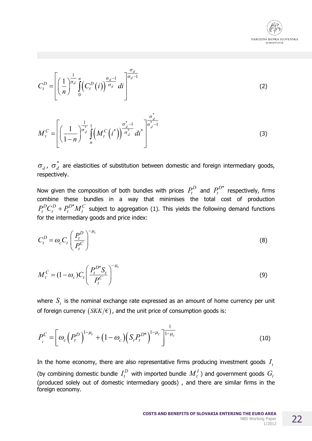

 $(3)$ 

$$
C_t^D = \left[ \left( \frac{1}{n} \right)^{\frac{1}{\sigma_d}} \int_0^n \left( C_t^D(i) \right)^{\frac{\sigma_d - 1}{\sigma_d}} di \right]^{\frac{\sigma_d}{\sigma_d - 1}}
$$
\n
$$
M_t^C = \left[ \left( \frac{1}{1 - n} \right)^{\frac{1}{\sigma_d}} \int_n^1 \left( M_t^C(i^*) \right)^{\frac{\sigma_d^* - 1}{\sigma_d}} di^* \right]^{\frac{\sigma_d^*}{\sigma_d - 1}}
$$
\n(3)

$$
\sigma_d
$$
,  $\sigma_d^*$  are elasticities of substitution between domestic and foreign intermediary goods, respectively.

Now given the composition of both bundles with prices  $P_t^D$  and  $P_t^{D*}$  respectively, firms combine these bundles in a way that minimises the total cost of production  $P_t^D C_t^D + P_t^{D*} M_t^C$  subject to aggregation (1). This yields the following demand functions for the intermediary goods and price index:

$$
C_t^D = \omega_c C_t \left(\frac{P_t^D}{P_t^C}\right)^{-\mu_c}
$$
 (8)

$$
M_t^C = (1 - \omega_c) C_t \left( \frac{P_t^{D^*} S_t}{P_t^C} \right)^{-\mu_c}
$$
\n(9)

where  $S_t$  is the nominal exchange rate expressed as an amount of home currency per unit of foreign currency  $(SKK/\epsilon)$ , and the unit price of consumption goods is:

$$
P_{t}^{C} = \left[\omega_{c}\left(P_{t}^{D}\right)^{1-\mu_{c}} + \left(1-\omega_{c}\right)\left(S_{t}P_{t}^{D^{*}}\right)^{1-\mu_{c}}\right]^{\frac{1}{1-\mu_{c}}}
$$
(10)

In the home economy, there are also representative firms producing investment goods  $I_t$ (by combining domestic bundle  $I_t^D$  with imported bundle  $M_t^I$ ) and government goods  $G_t$ (produced solely out of domestic intermediary goods), and there are similar firms in the foreign economy.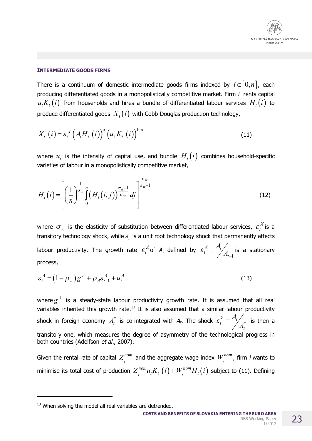## **INTERMEDIATE GOODS FIRMS**

There is a continuum of domestic intermediate goods firms indexed by  $i \in [0, n]$ , each producing differentiated goods in a monopolistically competitive market. Firm *i* rents capital  $u_t K_{_t} (i)$  from households and hires a bundle of differentiated labour services  $H_{_t} (i)$  to produce differentiated goods  $X_t(i)$  with Cobb-Douglas production technology,

$$
X_{t}(i) = \varepsilon_{t}^{X}\left(A_{t}H_{t}(i)\right)^{\alpha}\left(u_{t}K_{t}(i)\right)^{1-\alpha}
$$
\n(11)

where  $u_t$  is the intensity of capital use, and bundle  $H_t(i)$  combines household-specific varieties of labour in a monopolistically competitive market,

$$
H_t(i) = \left[ \left( \frac{1}{n} \right)^{\frac{1}{\sigma_w}} \int_0^n \left( H_t(i,j) \right)^{\frac{\sigma_w - 1}{\sigma_w}} dj \right]^{\frac{\sigma_w}{\sigma_w - 1}}
$$
(12)

where  $\sigma_w$  is the elasticity of substitution between differentiated labour services,  $\varepsilon^X_t$  $\varepsilon_t^{\scriptscriptstyle A}$  is a transitory technology shock, while  $A_t$  is a unit root technology shock that permanently affects labour productivity. The growth rate  $\varepsilon_t^A$  $\varepsilon_t^A$  of  $A_t$  defined by 1  $A_t^A \equiv \frac{A_t}{A_t}$ *A*  $\varepsilon_t^{\text{}} \equiv \frac{1}{2} A$ -  $\equiv \frac{A_t}{4}$  is a stationary process,

$$
\varepsilon_t^A = (1 - \rho_A) g^A + \rho_A \varepsilon_{t-1}^A + u_t^A
$$
 (13)

where  $g^A$  is a steady-state labour productivity growth rate. It is assumed that all real variables inherited this growth rate.<sup>13</sup> It is also assumed that a similar labour productivity shock in foreign economy  $A_t^*$  is co-integrated with  $A_t$ . The shock  $\mathcal{E}_t^Z \equiv \frac{A_t}{A^*}$ *t A A*  $\varepsilon_t^Z \equiv \frac{A_t}{\sqrt{2\pi}}$  is then a transitory one, which measures the degree of asymmetry of the technological progress in both countries (Adolfson *et al*., 2007).

Given the rental rate of capital  $Z^{nom}_i$  and the aggregate wage index  $W^{nom}_i$ , firm *i* wants to minimise its total cost of production  $Z_{i}^{nom} u_{t} K_{t} (i) + W_{i}^{nom} H_{t} (i)$  subject to (11). Defining

 $\overline{a}$ 

 $13$  When solving the model all real variables are detrended.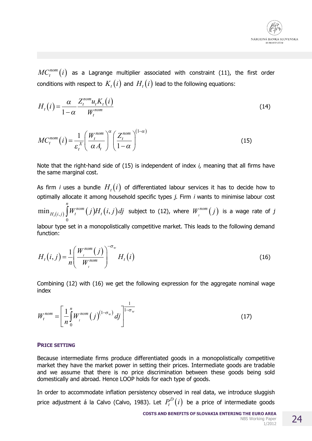

 $MC_t^{nom}\big(i\big)$  as a Lagrange multiplier associated with constraint (11), the first order conditions with respect to  $\,K_{_t}(i)$  and  $H_{_t}(i)$  lead to the following equations:

$$
H_t(i) = \frac{\alpha}{1-\alpha} \frac{Z_t^{nom} u_t K_t(i)}{W_t^{nom}}
$$
\n(14)

$$
MC_t^{nom}(i) = \frac{1}{\varepsilon_t^X} \left( \frac{W_t^{nom}}{\alpha A_t} \right)^{\alpha} \left( \frac{Z_t^{nom}}{1 - \alpha} \right)^{(1 - \alpha)}
$$
(15)

Note that the right-hand side of (15) is independent of index *i,* meaning that all firms have the same marginal cost.

As firm *i* uses a bundle  $H_{_t}(i)$  of differentiated labour services it has to decide how to optimally allocate it among household specific types *j*. Firm *i* wants to minimise labour cost

 $\int_{(i,j)} \int W_t^{nom}\big(j\big) H_{_t}\big(i,j\big)$ 0  $\min_{H_{t}(i,j)} \int W^{nom}_{t}\big(j\big)H^{}_{t}\big(i,$ *n*  $H_{t}(i,j)$   $\int\!\!\!\!\int W^{nom}_t(j) H_{t}\big(i,j\big) d j$  subject to (12), where  $W^{nom}_t(j)$  is a wage rate of  $j$ 

labour type set in a monopolistically competitive market. This leads to the following demand function:

$$
H_t(i,j) = \frac{1}{n} \left( \frac{W_t^{nom}(j)}{W_t^{nom}} \right)^{-\sigma_w} H_t(i)
$$
\n(16)

Combining (12) with (16) we get the following expression for the aggregate nominal wage index

$$
W_t^{nom} = \left[\frac{1}{n} \int_0^n W_t^{nom} (j)^{(1-\sigma_w)} dj\right]^{\frac{1}{1-\sigma_w}}
$$
\n(17)

#### **PRICE SETTING**

Because intermediate firms produce differentiated goods in a monopolistically competitive market they have the market power in setting their prices. Intermediate goods are tradable and we assume that there is no price discrimination between these goods being sold domestically and abroad. Hence LOOP holds for each type of goods.

In order to accommodate inflation persistency observed in real data, we introduce sluggish price adjustment á la Calvo (Calvo, 1983). Let  $P_t^D\!\left( i \right)$  be a price of intermediate goods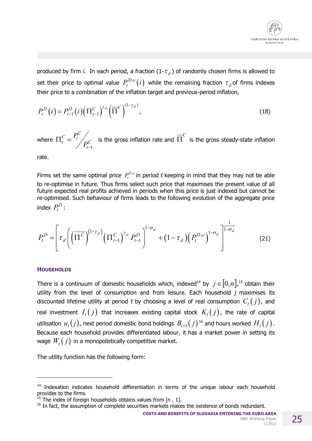

produced by firm *i*. In each period, a fraction  $(1-\tau_d)$  of randomly chosen firms is allowed to set their price to optimal value  $P_t^{D,o}(i)$  while the remaining fraction  $\tau_d$  of firms indexes their price to a combination of the inflation target and previous-period inflation,

$$
P_t^D(i) = P_{t-1}^D(i) \left( \Pi_{t-1}^C \right)^{\gamma_d} \left( \overline{\Pi}^C \right)^{(1-\gamma_d)},
$$
\n(18)

where  $\Pi_t^C = \frac{P_t^C}{P_{t-1}^C}$  is the gross inflation rate and  $\overline{\Pi}^C$  is the gross steady-state inflation

rate.

Firms set the same optimal price  $P_t^{D,o}$  in period t keeping in mind that they may not be able to re-optimise in future. Thus firms select such price that maximises the present value of all future expected real profits achieved in periods when this price is just indexed but cannot be re-optimised. Such behaviour of firms leads to the following evolution of the aggregate price index  $P_t^D$ :

$$
P_t^D = \left[ \tau_d \left( \left( \overline{\Pi^C} \right)^{(1-\gamma_p)} \left( \Pi_{t-1}^C \right)^{\gamma_p} P_{t-1}^D \right)^{1-\sigma_d} + (1-\tau_d) \left( P_t^{D,o} \right)^{1-\sigma_d} \right]^{-1-\sigma_d}
$$
(21)

## **HOUSEHOLDS**

There is a continuum of domestic households which, indexed<sup>14</sup> by  $j \in [0,n]$ ,<sup>15</sup> obtain their utility from the level of consumption and from leisure. Each household *j* maximises its discounted lifetime utility at period t by choosing a level of real consumption  $C_i(j)$ , and real investment  $I_t(j)$  that increases existing capital stock  $K_t(j)$ , the rate of capital utilisation  $u_t(j)$ , next period domestic bond holdings  $B_{t+1}(j)$ <sup>16</sup> and hours worked  $H_t(j)$ . Because each household provides differentiated labour, it has a market power in setting its wage  $W_t(j)$  in a monopolistically competitive market.

The utility function has the following form:

**COSTS AND BENEFITS OF SLOVAKIA ENTERING THE EURO AREA** 

<sup>&</sup>lt;sup>14</sup> Indexation indicates household differentiation in terms of the unique labour each household provides to the firms.

<sup>&</sup>lt;sup>15</sup> The index of foreign households obtains values from [n, 1].

<sup>&</sup>lt;sup>16</sup> In fact, the assumption of complete securities markets makes the existence of bonds redundant.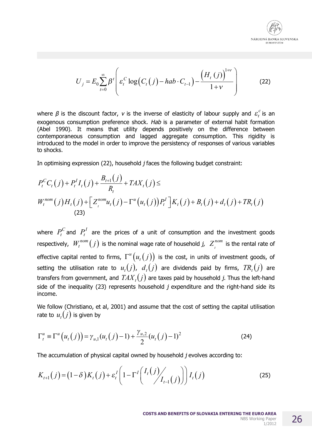

$$
U_j = E_0 \sum_{t=0}^{\infty} \beta^t \left( \varepsilon_t^C \log \left( C_t(j) - hab \cdot C_{t-1} \right) - \frac{\left( H_t(j) \right)^{1+\nu}}{1+\nu} \right) \tag{22}
$$

where  $\beta$  is the discount factor,  $v$  is the inverse of elasticity of labour supply and  $\varepsilon_t^c$  is an exogenous consumption preference shock. *Hab* is a parameter of external habit formation (Abel 1990). It means that utility depends positively on the difference between contemporaneous consumption and lagged aggregate consumption. This rigidity is introduced to the model in order to improve the persistency of responses of various variables to shocks.

In optimising expression (22), household *j* faces the following budget constraint:

$$
P_t^C C_t(j) + P_t^I I_t(j) + \frac{B_{t+1}(j)}{R_t} + TAX_t(j) \le
$$
  
\n
$$
W_t^{nom}(j) H_t(j) + \left[ Z_t^{nom} u_t(j) - \Gamma^u(u_t(j)) P_t^I \right] K_t(j) + B_t(j) + d_t(j) + TR_t(j)
$$
  
\n(23)

where  $P_t^C$  and  $P_t^I$  are the prices of a unit of consumption and the investment goods respectively,  $\mathcal{W}^{nom}_t(j)$  is the nominal wage rate of household *j,*  $Z^{nom}_t$  is the rental rate of effective capital rented to firms,  $\Gamma^{u}\bigl(u_{_{t}}(j)\bigr)$  is the cost, in units of investment goods, of setting the utilisation rate to  $u_t(j)$ ,  $d_t(j)$  are dividends paid by firms,  $TR_t(j)$  are transfers from government, and  $\mathit{TAX}_t(j)$  are taxes paid by household  $j.$  Thus the left-hand side of the inequality (23) represents household *j* expenditure and the right-hand side its income.

We follow (Christiano, et al, 2001) and assume that the cost of setting the capital utilisation rate to  $u_t(j)$  is given by

$$
\Gamma_t^u = \Gamma^u(u_t(j)) = \gamma_{u,1}(u_t(j) - 1) + \frac{\gamma_{u,2}}{2}(u_t(j) - 1)^2
$$
 (24)

The accumulation of physical capital owned by household *j* evolves according to:

$$
K_{t+1}(j) = (1-\delta)K_t(j) + \varepsilon_t^I \left(1 - \Gamma^I \left(\frac{I_t(j)}{I_{t-1}(j)}\right)\right) I_t(j)
$$
 (25)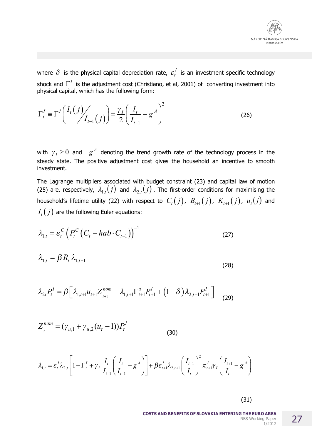

where  $\delta$  is the physical capital depreciation rate,  $\varepsilon_t^I$  is an investment specific technology shock and  $\Gamma^I$  is the adjustment cost (Christiano, et al, 2001) of converting investment into physical capital, which has the following form:

$$
\Gamma_t^I \equiv \Gamma^I \left( \frac{I_t(j)}{I_{t-1}(j)} \right) = \frac{\gamma_I}{2} \left( \frac{I_t}{I_{t-1}} - g^A \right)^2 \tag{26}
$$

with  $\gamma_I \ge 0$  and  $g^A$  denoting the trend growth rate of the technology process in the steady state. The positive adjustment cost gives the household an incentive to smooth investment.

The Lagrange multipliers associated with budget constraint (23) and capital law of motion (25) are, respectively,  $\lambda_{1,t}(j)$  and  $\lambda_{2,t}(j)$ . The first-order conditions for maximising the household's lifetime utility (22) with respect to  $C_i(j)$ ,  $B_{i+1}(j)$ ,  $K_{i+1}(j)$ ,  $u_i(j)$  and  $I_t(j)$  are the following Euler equations:

$$
\lambda_{1,t} = \varepsilon_t^C \left( P_t^C \left( C_t - hab \cdot C_{t-1} \right) \right)^{-1} \tag{27}
$$

$$
\lambda_{1,t} = \beta R_t \lambda_{1,t+1} \tag{28}
$$

$$
\lambda_{2t} P_t^I = \beta \Big[ \lambda_{1,t+1} u_{t+1} Z_{t+1}^{nom} - \lambda_{1,t+1} \Gamma_{t+1}^u P_{t+1}^I + (1 - \delta) \lambda_{2,t+1} P_{t+1}^I \Big] \tag{29}
$$

$$
Z_t^{nom} = (\gamma_{u,1} + \gamma_{u,2}(u_t - 1))P_t^I
$$
\n(30)

 $\sim$   $\sim$   $\sim$ 

$$
\lambda_{1,t} = \varepsilon_t^I \lambda_{2,t} \left[ 1 - \Gamma_t^I + \gamma_I \frac{I_t}{I_{t-1}} \left( \frac{I_t}{I_{t-1}} - g^A \right) \right] + \beta \varepsilon_{t+1}^I \lambda_{2,t+1} \left( \frac{I_{t+1}}{I_t} \right)^2 \pi_{t+1}^I \gamma_I \left( \frac{I_{t+1}}{I_t} - g^A \right)
$$

 $(31)$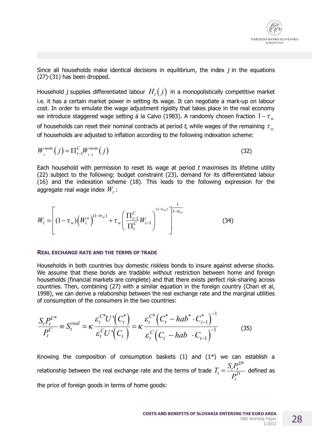

Since all households make identical decisions in equilibrium, the index  $j$  in the equations  $(27)-(31)$  has been dropped.

Household j supplies differentiated labour  $H_i(j)$  in a monopolistically competitive market i.e. it has a certain market power in setting its wage. It can negotiate a mark-up on labour cost. In order to emulate the wage adjustment rigidity that takes place in the real economy we introduce staggered wage setting á la Calvo (1983). A randomly chosen fraction  $1 - \tau_w$ of households can reset their nominal contracts at period t, while wages of the remaining  $\tau_w$ of households are adjusted to inflation according to the following indexation scheme:

$$
W_t^{nom}(j) = \Pi_{t-1}^C W_{t-1}^{nom}(j)
$$
 (32)

Each household with permission to reset its wage at period t maximises its lifetime utility (22) subject to the following: budget constraint (23), demand for its differentiated labour (16) and the indexation scheme (18). This leads to the following expression for the aggregate real wage index  $W_t$ :

$$
W_{t} = \left[ (1 - \tau_{w}) \left( W_{t}^{o} \right)^{(1 - \sigma_{w})} + \tau_{w} \left( \frac{\prod_{t=1}^{C} W_{t-1}}{\prod_{t}^{C}} W_{t-1} \right)^{(1 - \sigma_{w})} \right]^{-1} \tag{34}
$$

#### **REAL EXCHANGE RATE AND THE TERMS OF TRADE**

Households in both countries buy domestic riskless bonds to insure against adverse shocks. We assume that these bonds are tradable without restriction between home and foreign households (financial markets are complete) and that there exists perfect risk-sharing across countries. Then, combining (27) with a similar equation in the foreign country (Chari et al, 1998), we can derive a relationship between the real exchange rate and the marginal utilities of consumption of the consumers in the two countries:

$$
\frac{S_{t}P_{t}^{C^{*}}}{P_{t}^{C}} \equiv S_{t}^{real} = \kappa \frac{\varepsilon_{t}^{C^{*}} U^{*}(C_{t}^{*})}{\varepsilon_{t}^{C} U^{*}(C_{t})} = \kappa \frac{\varepsilon_{t}^{C^{*}}(C_{t}^{*} - hab^{*} \cdot C_{t-1}^{*})}{\varepsilon_{t}^{C}(C_{t} - hab \cdot C_{t-1})^{-1}}
$$
(35)

Knowing the composition of consumption baskets  $(1)$  and  $(1^*)$  we can establish a relationship between the real exchange rate and the terms of trade  $T_t = \frac{S_t P_t^{D*}}{P_t^{D}}$  defined as

the price of foreign goods in terms of home goods: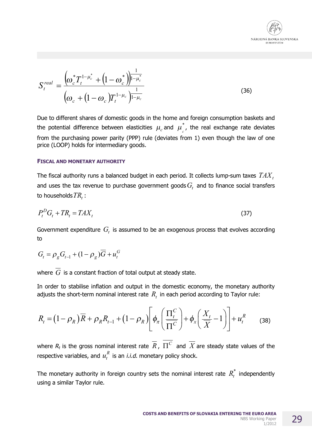

$$
S_t^{real} = \frac{\left(\omega_c^* T_t^{1-\mu_c^*} + \left(1 - \omega_c^*\right)\right)^{\frac{1}{1-\mu_c^*}}}{\left(\omega_c + \left(1 - \omega_c\right)T_t^{1-\mu_c}\right)^{\frac{1}{1-\mu_c}}}
$$
(36)

Due to different shares of domestic goods in the home and foreign consumption baskets and the potential difference between elasticities  $\mu_c$  and  $\mu^\ast_{\phantom{i}c}$ , the real exchange rate deviates from the purchasing power parity (PPP) rule (deviates from 1) even though the law of one price (LOOP) holds for intermediary goods.

#### **FISCAL AND MONETARY AUTHORITY**

The fiscal authority runs <sup>a</sup> balanced budget in each period. It collects lump-sum taxes *TAX<sup>t</sup>* and uses the tax revenue to purchase government goods  $G^{\vphantom{\dagger}}_t$  and to finance social transfers to households  $TR_{t}$  :

$$
P_t^D G_t + T R_t = T A X_t \tag{37}
$$

Government expenditure  $\, G_{t} \,$  is assumed to be an exogenous process that evolves according to

$$
G_{t} = \rho_{g} G_{t-1} + (1 - \rho_{g}) \overline{G} + u_{t}^{G}
$$

where  $\overline{G}$  is a constant fraction of total output at steady state.

In order to stabilise inflation and output in the domestic economy, the monetary authority adjusts the short-term nominal interest rate  $R_t$  in each period according to Taylor rule:

$$
R_t = \left(1 - \rho_R\right)\overline{R} + \rho_R R_{t-1} + \left(1 - \rho_R\right)\left[\phi_\pi \left(\frac{\Pi_t^C}{\Pi^C}\right) + \phi_x \left(\frac{X_t}{\overline{X}} - 1\right)\right] + u_t^R \tag{38}
$$

where  $R_t$  is the gross nominal interest rate  $\overline{R}$  ,  $\, \Pi^C \,$  and  $\, \overline{X}$  are steady state values of the respective variables, and  $u_t^R$  is an *i.i.d.* monetary policy shock.

The monetary authority in foreign country sets the nominal interest rate  $\overline{R}^*_t$  independently using a similar Taylor rule.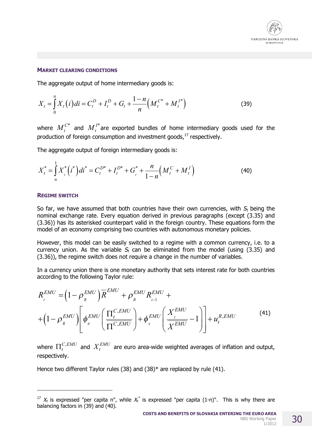

### **MARKET CLEARING CONDITIONS**

The aggregate output of home intermediary goods is:

$$
X_{t} = \int_{0}^{n} X_{t}(i)di = C_{t}^{D} + I_{t}^{D} + G_{t} + \frac{1-n}{n} \left( M_{t}^{C^{*}} + M_{t}^{I^{*}} \right)
$$
(39)

where  $M_t^{C^*}$  and  $M_t^{I^*}$  are exported bundles of home intermediary goods used for the production of foreign consumption and investment goods,<sup>17</sup> respectively.

The aggregate output of foreign intermediary goods is:

$$
X_t^* = \int_n^1 X_t^* (i^*) dt^* = C_t^{D^*} + I_t^{D^*} + G_t^* + \frac{n}{1-n} \Big( M_t^C + M_t^I \Big)
$$
(40)

#### **REGIME SWITCH**

So far, we have assumed that both countries have their own currencies, with  $S_t$  being the nominal exchange rate. Every equation derived in previous paragraphs (except (3.35) and (3.36)) has its asterisked counterpart valid in the foreign country. These equations form the model of an economy comprising two countries with autonomous monetary policies.

However, this model can be easily switched to a regime with a common currency, i.e. to a currency union. As the variable  $S_t$  can be eliminated from the model (using (3.35) and (3.36)), the regime switch does not require a change in the number of variables.

In a currency union there is one monetary authority that sets interest rate for both countries according to the following Taylor rule:

$$
R_t^{EMU} = \left(1 - \rho_R^{EMU}\right)\overline{R}^{EMU} + \rho_R^{EMU}R_{t-1}^{EMU} + \left(1 - \rho_R^{EMU}\right)\left[\phi_{\pi}^{EMU}\left(\frac{\Pi_t^{C,EMU}}{\Pi^{C,EMU}}\right) + \phi_{x}^{EMU}\left(\frac{X_t^{EMU}}{X^{EMU}} - 1\right)\right] + u_t^{R,EMU}
$$
(41)

where  $\Pi_t^{C,EMU}$  and  $X_t^{EMU}$  are euro area-wide weighted averages of inflation and output, respectively.

Hence two different Taylor rules (38) and (38)\* are replaced by rule (41).

<sup>&</sup>lt;sup>17</sup>  $X_t$  is expressed "per capita n", while  $X_t^*$  is expressed "per capita (1-n)". This is why there are balancing factors in (39) and (40).